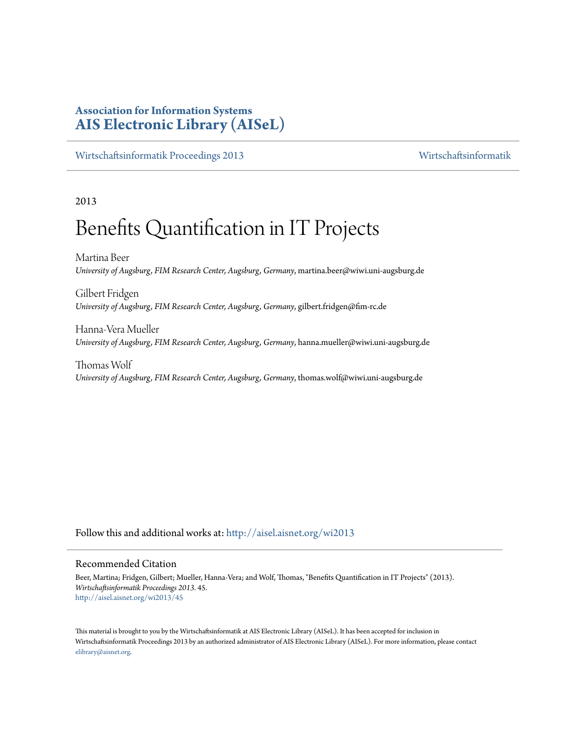# **Association for Information Systems [AIS Electronic Library \(AISeL\)](http://aisel.aisnet.org?utm_source=aisel.aisnet.org%2Fwi2013%2F45&utm_medium=PDF&utm_campaign=PDFCoverPages)**

[Wirtschaftsinformatik Proceedings 2013](http://aisel.aisnet.org/wi2013?utm_source=aisel.aisnet.org%2Fwi2013%2F45&utm_medium=PDF&utm_campaign=PDFCoverPages) [Wirtschaftsinformatik](http://aisel.aisnet.org/wi?utm_source=aisel.aisnet.org%2Fwi2013%2F45&utm_medium=PDF&utm_campaign=PDFCoverPages)

# 2013

# Benefits Quantification in IT Projects

Martina Beer *University of Augsburg, FIM Research Center, Augsburg, Germany*, martina.beer@wiwi.uni-augsburg.de

Gilbert Fridgen *University of Augsburg, FIM Research Center, Augsburg, Germany*, gilbert.fridgen@fim-rc.de

Hanna-Vera Mueller *University of Augsburg, FIM Research Center, Augsburg, Germany*, hanna.mueller@wiwi.uni-augsburg.de

Thomas Wolf *University of Augsburg, FIM Research Center, Augsburg, Germany*, thomas.wolf@wiwi.uni-augsburg.de

Follow this and additional works at: [http://aisel.aisnet.org/wi2013](http://aisel.aisnet.org/wi2013?utm_source=aisel.aisnet.org%2Fwi2013%2F45&utm_medium=PDF&utm_campaign=PDFCoverPages)

#### Recommended Citation

Beer, Martina; Fridgen, Gilbert; Mueller, Hanna-Vera; and Wolf, Thomas, "Benefits Quantification in IT Projects" (2013). *Wirtschaftsinformatik Proceedings 2013*. 45. [http://aisel.aisnet.org/wi2013/45](http://aisel.aisnet.org/wi2013/45?utm_source=aisel.aisnet.org%2Fwi2013%2F45&utm_medium=PDF&utm_campaign=PDFCoverPages)

This material is brought to you by the Wirtschaftsinformatik at AIS Electronic Library (AISeL). It has been accepted for inclusion in Wirtschaftsinformatik Proceedings 2013 by an authorized administrator of AIS Electronic Library (AISeL). For more information, please contact [elibrary@aisnet.org.](mailto:elibrary@aisnet.org%3E)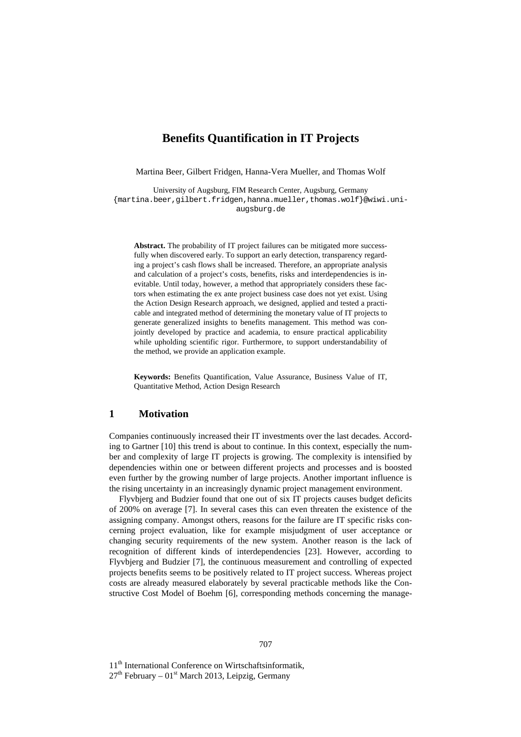# **Benefits Quantification in IT Projects**

Martina Beer, Gilbert Fridgen, Hanna-Vera Mueller, and Thomas Wolf

University of Augsburg, FIM Research Center, Augsburg, Germany {martina.beer,gilbert.fridgen,hanna.mueller,thomas.wolf}@wiwi.uniaugsburg.de

**Abstract.** The probability of IT project failures can be mitigated more successfully when discovered early. To support an early detection, transparency regarding a project's cash flows shall be increased. Therefore, an appropriate analysis and calculation of a project's costs, benefits, risks and interdependencies is inevitable. Until today, however, a method that appropriately considers these factors when estimating the ex ante project business case does not yet exist. Using the Action Design Research approach, we designed, applied and tested a practicable and integrated method of determining the monetary value of IT projects to generate generalized insights to benefits management. This method was conjointly developed by practice and academia, to ensure practical applicability while upholding scientific rigor. Furthermore, to support understandability of the method, we provide an application example.

**Keywords:** Benefits Quantification, Value Assurance, Business Value of IT, Quantitative Method, Action Design Research

# **1 Motivation**

Companies continuously increased their IT investments over the last decades. According to Gartner [10] this trend is about to continue. In this context, especially the number and complexity of large IT projects is growing. The complexity is intensified by dependencies within one or between different projects and processes and is boosted even further by the growing number of large projects. Another important influence is the rising uncertainty in an increasingly dynamic project management environment.

Flyvbjerg and Budzier found that one out of six IT projects causes budget deficits of 200% on average [7]. In several cases this can even threaten the existence of the assigning company. Amongst others, reasons for the failure are IT specific risks concerning project evaluation, like for example misjudgment of user acceptance or changing security requirements of the new system. Another reason is the lack of recognition of different kinds of interdependencies [23]. However, according to Flyvbjerg and Budzier [7], the continuous measurement and controlling of expected projects benefits seems to be positively related to IT project success. Whereas project costs are already measured elaborately by several practicable methods like the Constructive Cost Model of Boehm [6], corresponding methods concerning the manage-

11<sup>th</sup> International Conference on Wirtschaftsinformatik,

 $27<sup>th</sup>$  February – 01<sup>st</sup> March 2013, Leipzig, Germany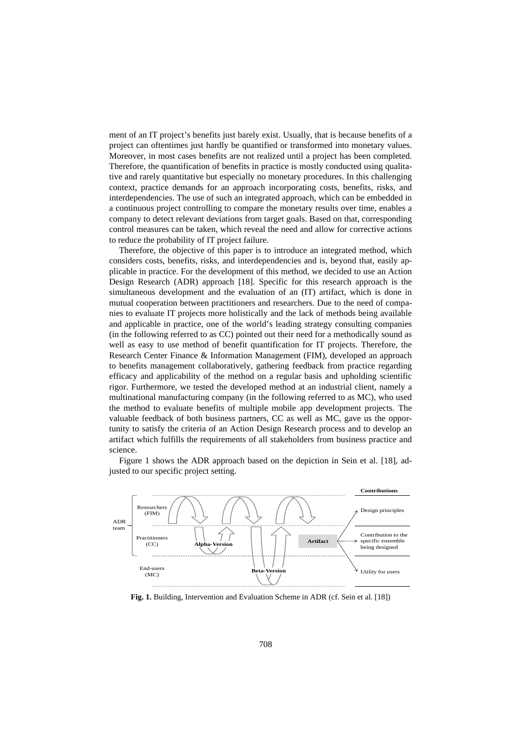ment of an IT project's benefits just barely exist. Usually, that is because benefits of a project can oftentimes just hardly be quantified or transformed into monetary values. Moreover, in most cases benefits are not realized until a project has been completed. Therefore, the quantification of benefits in practice is mostly conducted using qualitative and rarely quantitative but especially no monetary procedures. In this challenging context, practice demands for an approach incorporating costs, benefits, risks, and interdependencies. The use of such an integrated approach, which can be embedded in a continuous project controlling to compare the monetary results over time, enables a company to detect relevant deviations from target goals. Based on that, corresponding control measures can be taken, which reveal the need and allow for corrective actions to reduce the probability of IT project failure.

Therefore, the objective of this paper is to introduce an integrated method, which considers costs, benefits, risks, and interdependencies and is, beyond that, easily applicable in practice. For the development of this method, we decided to use an Action Design Research (ADR) approach [18]. Specific for this research approach is the simultaneous development and the evaluation of an (IT) artifact, which is done in mutual cooperation between practitioners and researchers. Due to the need of companies to evaluate IT projects more holistically and the lack of methods being available and applicable in practice, one of the world's leading strategy consulting companies (in the following referred to as CC) pointed out their need for a methodically sound as well as easy to use method of benefit quantification for IT projects. Therefore, the Research Center Finance & Information Management (FIM), developed an approach to benefits management collaboratively, gathering feedback from practice regarding efficacy and applicability of the method on a regular basis and upholding scientific rigor. Furthermore, we tested the developed method at an industrial client, namely a multinational manufacturing company (in the following referred to as MC), who used the method to evaluate benefits of multiple mobile app development projects. The valuable feedback of both business partners, CC as well as MC, gave us the opportunity to satisfy the criteria of an Action Design Research process and to develop an artifact which fulfills the requirements of all stakeholders from business practice and science.

Figure 1 shows the ADR approach based on the depiction in Sein et al. [18], adjusted to our specific project setting.



**Fig. 1.** Building, Intervention and Evaluation Scheme in ADR (cf. Sein et al. [18])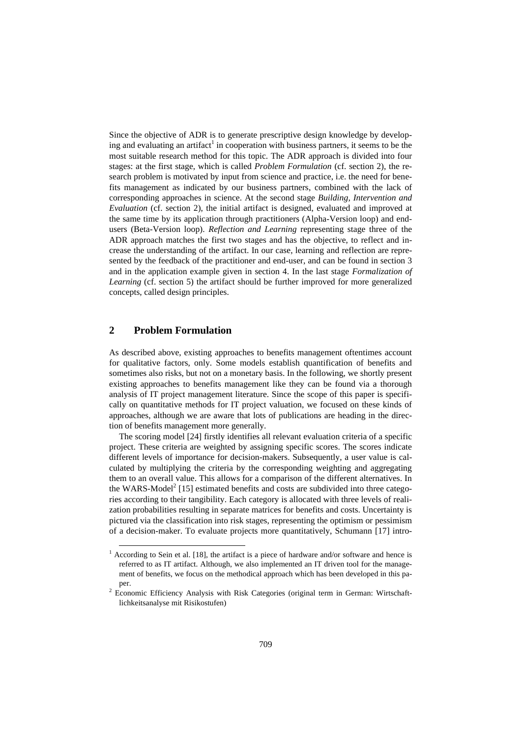Since the objective of ADR is to generate prescriptive design knowledge by developing and evaluating an artifact<sup>1</sup> in cooperation with business partners, it seems to be the most suitable research method for this topic. The ADR approach is divided into four stages: at the first stage, which is called *Problem Formulation* (cf. section 2), the research problem is motivated by input from science and practice, i.e. the need for benefits management as indicated by our business partners, combined with the lack of corresponding approaches in science. At the second stage *Building, Intervention and Evaluation* (cf. section 2), the initial artifact is designed, evaluated and improved at the same time by its application through practitioners (Alpha-Version loop) and endusers (Beta-Version loop). *Reflection and Learning* representing stage three of the ADR approach matches the first two stages and has the objective, to reflect and increase the understanding of the artifact. In our case, learning and reflection are represented by the feedback of the practitioner and end-user, and can be found in section 3 and in the application example given in section 4. In the last stage *Formalization of Learning* (cf. section 5) the artifact should be further improved for more generalized concepts, called design principles.

# **2 Problem Formulation**

j

As described above, existing approaches to benefits management oftentimes account for qualitative factors, only. Some models establish quantification of benefits and sometimes also risks, but not on a monetary basis. In the following, we shortly present existing approaches to benefits management like they can be found via a thorough analysis of IT project management literature. Since the scope of this paper is specifically on quantitative methods for IT project valuation, we focused on these kinds of approaches, although we are aware that lots of publications are heading in the direction of benefits management more generally.

The scoring model [24] firstly identifies all relevant evaluation criteria of a specific project. These criteria are weighted by assigning specific scores. The scores indicate different levels of importance for decision-makers. Subsequently, a user value is calculated by multiplying the criteria by the corresponding weighting and aggregating them to an overall value. This allows for a comparison of the different alternatives. In the WARS-Model<sup>2</sup> [15] estimated benefits and costs are subdivided into three categories according to their tangibility. Each category is allocated with three levels of realization probabilities resulting in separate matrices for benefits and costs. Uncertainty is pictured via the classification into risk stages, representing the optimism or pessimism of a decision-maker. To evaluate projects more quantitatively, Schumann [17] intro-

 $1$  According to Sein et al. [18], the artifact is a piece of hardware and/or software and hence is referred to as IT artifact. Although, we also implemented an IT driven tool for the management of benefits, we focus on the methodical approach which has been developed in this paper.

<sup>&</sup>lt;sup>2</sup> Economic Efficiency Analysis with Risk Categories (original term in German: Wirtschaftlichkeitsanalyse mit Risikostufen)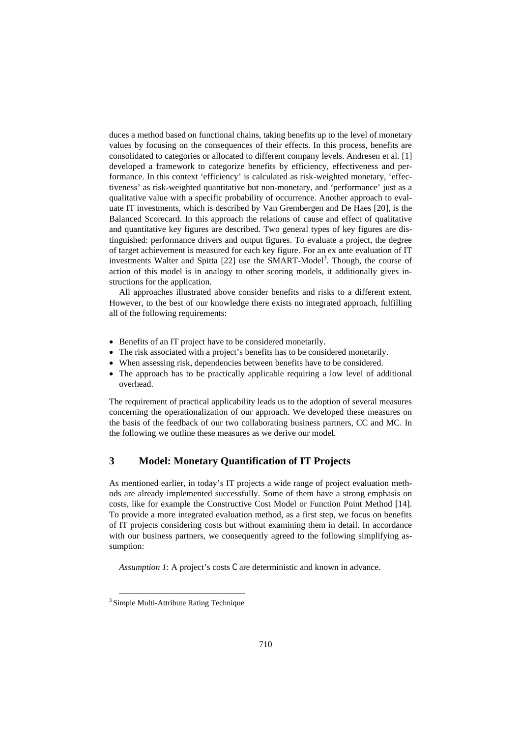duces a method based on functional chains, taking benefits up to the level of monetary values by focusing on the consequences of their effects. In this process, benefits are consolidated to categories or allocated to different company levels. Andresen et al. [1] developed a framework to categorize benefits by efficiency, effectiveness and performance. In this context 'efficiency' is calculated as risk-weighted monetary, 'effectiveness' as risk-weighted quantitative but non-monetary, and 'performance' just as a qualitative value with a specific probability of occurrence. Another approach to evaluate IT investments, which is described by Van Grembergen and De Haes [20], is the Balanced Scorecard. In this approach the relations of cause and effect of qualitative and quantitative key figures are described. Two general types of key figures are distinguished: performance drivers and output figures. To evaluate a project, the degree of target achievement is measured for each key figure. For an ex ante evaluation of IT investments Walter and Spitta  $[22]$  use the SMART-Model<sup>3</sup>. Though, the course of action of this model is in analogy to other scoring models, it additionally gives instructions for the application.

All approaches illustrated above consider benefits and risks to a different extent. However, to the best of our knowledge there exists no integrated approach, fulfilling all of the following requirements:

- Benefits of an IT project have to be considered monetarily.
- The risk associated with a project's benefits has to be considered monetarily.
- When assessing risk, dependencies between benefits have to be considered.
- The approach has to be practically applicable requiring a low level of additional overhead.

The requirement of practical applicability leads us to the adoption of several measures concerning the operationalization of our approach. We developed these measures on the basis of the feedback of our two collaborating business partners, CC and MC. In the following we outline these measures as we derive our model.

# **3 Model: Monetary Quantification of IT Projects**

As mentioned earlier, in today's IT projects a wide range of project evaluation methods are already implemented successfully. Some of them have a strong emphasis on costs, like for example the Constructive Cost Model or Function Point Method [14]. To provide a more integrated evaluation method, as a first step, we focus on benefits of IT projects considering costs but without examining them in detail. In accordance with our business partners, we consequently agreed to the following simplifying assumption:

*Assumption 1*: A project's costs C are deterministic and known in advance.

-

<sup>&</sup>lt;sup>3</sup> Simple Multi-Attribute Rating Technique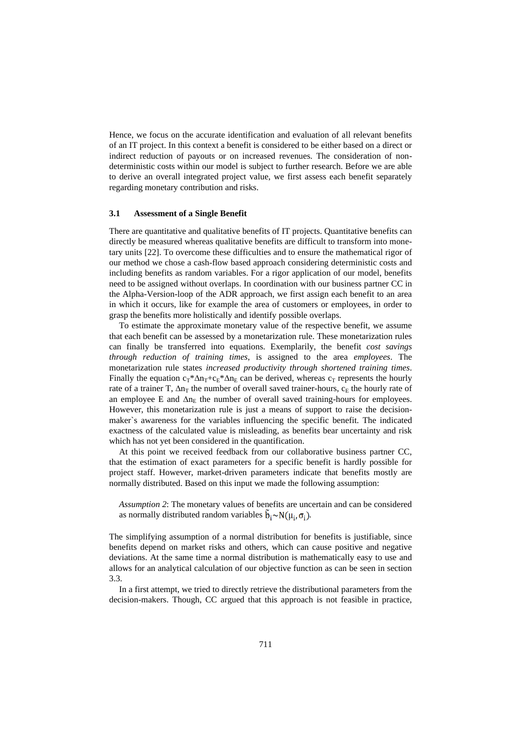Hence, we focus on the accurate identification and evaluation of all relevant benefits of an IT project. In this context a benefit is considered to be either based on a direct or indirect reduction of payouts or on increased revenues. The consideration of nondeterministic costs within our model is subject to further research. Before we are able to derive an overall integrated project value, we first assess each benefit separately regarding monetary contribution and risks.

#### **3.1 Assessment of a Single Benefit**

There are quantitative and qualitative benefits of IT projects. Quantitative benefits can directly be measured whereas qualitative benefits are difficult to transform into monetary units [22]. To overcome these difficulties and to ensure the mathematical rigor of our method we chose a cash-flow based approach considering deterministic costs and including benefits as random variables. For a rigor application of our model, benefits need to be assigned without overlaps. In coordination with our business partner CC in the Alpha-Version-loop of the ADR approach, we first assign each benefit to an area in which it occurs, like for example the area of customers or employees, in order to grasp the benefits more holistically and identify possible overlaps.

To estimate the approximate monetary value of the respective benefit, we assume that each benefit can be assessed by a monetarization rule. These monetarization rules can finally be transferred into equations. Exemplarily, the benefit *cost savings through reduction of training times*, is assigned to the area *employees*. The monetarization rule states *increased productivity through shortened training times*. Finally the equation  $c_T^* \Delta n_T + c_E^* \Delta n_E$  can be derived, whereas  $c_T$  represents the hourly rate of a trainer T,  $\Delta n_T$  the number of overall saved trainer-hours,  $c_E$  the hourly rate of an employee E and  $\Delta n_E$  the number of overall saved training-hours for employees. However, this monetarization rule is just a means of support to raise the decisionmaker`s awareness for the variables influencing the specific benefit. The indicated exactness of the calculated value is misleading, as benefits bear uncertainty and risk which has not yet been considered in the quantification.

At this point we received feedback from our collaborative business partner CC, that the estimation of exact parameters for a specific benefit is hardly possible for project staff. However, market-driven parameters indicate that benefits mostly are normally distributed. Based on this input we made the following assumption:

*Assumption 2*: The monetary values of benefits are uncertain and can be considered as normally distributed random variables  $\tilde{b}_i \sim N(\mu_i, \sigma_i)$ .

The simplifying assumption of a normal distribution for benefits is justifiable, since benefits depend on market risks and others, which can cause positive and negative deviations. At the same time a normal distribution is mathematically easy to use and allows for an analytical calculation of our objective function as can be seen in section 3.3.

In a first attempt, we tried to directly retrieve the distributional parameters from the decision-makers. Though, CC argued that this approach is not feasible in practice,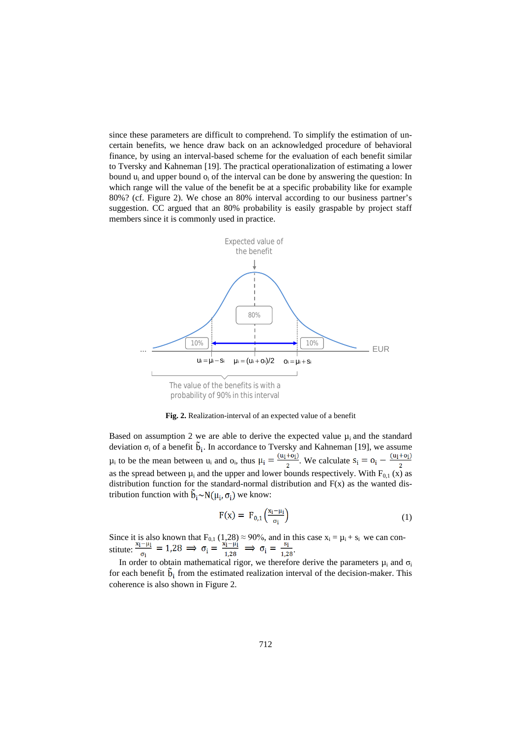since these parameters are difficult to comprehend. To simplify the estimation of uncertain benefits, we hence draw back on an acknowledged procedure of behavioral finance, by using an interval-based scheme for the evaluation of each benefit similar to Tversky and Kahneman [19]. The practical operationalization of estimating a lower bound  $u_i$  and upper bound  $o_i$  of the interval can be done by answering the question: In which range will the value of the benefit be at a specific probability like for example 80%? (cf. Figure 2). We chose an 80% interval according to our business partner's suggestion. CC argued that an 80% probability is easily graspable by project staff members since it is commonly used in practice.



**Fig. 2.** Realization-interval of an expected value of a benefit

Based on assumption 2 we are able to derive the expected value  $\mu_i$  and the standard deviation  $\sigma_i$  of a benefit  $b_i$ . In accordance to Tversky and Kahneman [19], we assume  $\mu_i$  to be the mean between  $u_i$  and  $o_i$ , thus  $\mu_i = \frac{(u_i + o_i)}{2}$ . We calculate as the spread between  $\mu_i$  and the upper and lower bounds respectively. With  $F_{0,1}$  (x) as distribution function for the standard-normal distribution and  $F(x)$  as the wanted distribution function with  $\tilde{b}_i \sim N(\mu_i, \sigma_i)$  we know:

$$
F(x) = F_{0,1}\left(\frac{x_i - \mu_i}{\sigma_i}\right) \tag{1}
$$

Since it is also known that  $F_{0,1}$  (1,28)  $\approx$  90%, and in this case  $x_i = \mu_i + s_i$  we can constitute:  $\frac{1}{\sigma_i} = 1.28 \implies \sigma_i = \frac{1}{1.28} \implies \sigma_i = \frac{1}{1.28}$ .

In order to obtain mathematical rigor, we therefore derive the parameters  $\mu_i$  and  $\sigma_i$ for each benefit  $\tilde{b}_i$  from the estimated realization interval of the decision-maker. This coherence is also shown in Figure 2.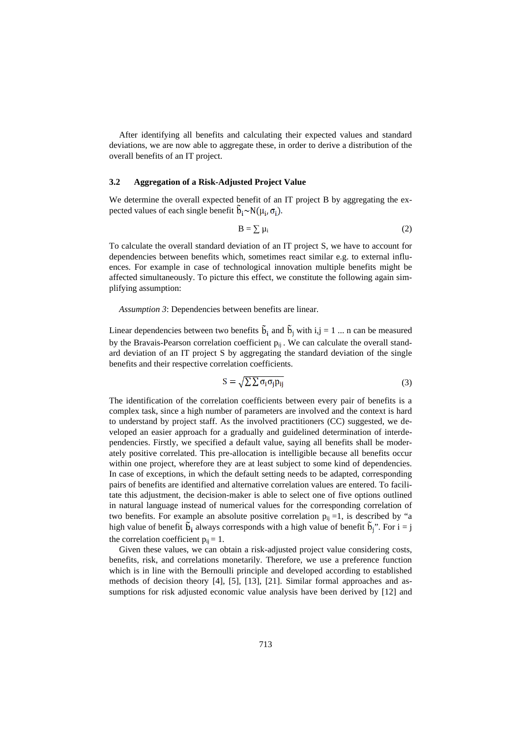After identifying all benefits and calculating their expected values and standard deviations, we are now able to aggregate these, in order to derive a distribution of the overall benefits of an IT project.

#### **3.2 Aggregation of a Risk-Adjusted Project Value**

We determine the overall expected benefit of an IT project B by aggregating the expected values of each single benefit  $\mathbf{b}_i \sim N(\mu_i, \sigma_i)$ .

$$
B = \sum \mu_i \tag{2}
$$

To calculate the overall standard deviation of an IT project S, we have to account for dependencies between benefits which, sometimes react similar e.g. to external influences. For example in case of technological innovation multiple benefits might be affected simultaneously. To picture this effect, we constitute the following again simplifying assumption:

*Assumption 3*: Dependencies between benefits are linear.

Linear dependencies between two benefits  $\tilde{b}_i$  and  $\tilde{b}_j$  with  $i, j = 1 \dots n$  can be measured by the Bravais-Pearson correlation coefficient  $p_{ii}$ . We can calculate the overall standard deviation of an IT project S by aggregating the standard deviation of the single benefits and their respective correlation coefficients.

$$
S = \sqrt{\sum \sum \sigma_i \sigma_j p_{ij}} \tag{3}
$$

The identification of the correlation coefficients between every pair of benefits is a complex task, since a high number of parameters are involved and the context is hard to understand by project staff. As the involved practitioners (CC) suggested, we developed an easier approach for a gradually and guidelined determination of interdependencies. Firstly, we specified a default value, saying all benefits shall be moderately positive correlated. This pre-allocation is intelligible because all benefits occur within one project, wherefore they are at least subject to some kind of dependencies. In case of exceptions, in which the default setting needs to be adapted, corresponding pairs of benefits are identified and alternative correlation values are entered. To facilitate this adjustment, the decision-maker is able to select one of five options outlined in natural language instead of numerical values for the corresponding correlation of two benefits. For example an absolute positive correlation  $p_{ii} = 1$ , is described by "a high value of benefit  $\tilde{b}_i$  always corresponds with a high value of benefit  $\tilde{b}_i$ ". For  $i = j$ the correlation coefficient  $p_{ii} = 1$ .

Given these values, we can obtain a risk-adjusted project value considering costs, benefits, risk, and correlations monetarily. Therefore, we use a preference function which is in line with the Bernoulli principle and developed according to established methods of decision theory [4], [5], [13], [21]. Similar formal approaches and assumptions for risk adjusted economic value analysis have been derived by [12] and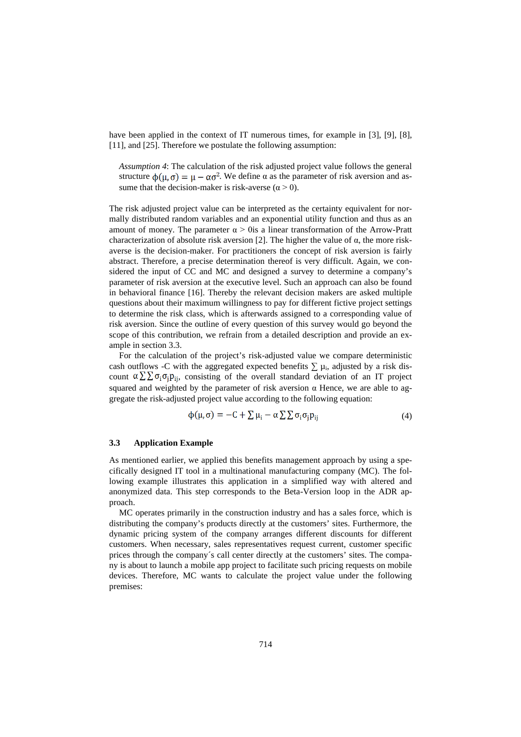have been applied in the context of IT numerous times, for example in [3], [9], [8], [11], and [25]. Therefore we postulate the following assumption:

*Assumption 4*: The calculation of the risk adjusted project value follows the general structure  $\phi(\mu, \sigma) = \mu - \alpha \sigma^2$ . We define  $\alpha$  as the parameter of risk aversion and assume that the decision-maker is risk-averse ( $\alpha$  > 0).

The risk adjusted project value can be interpreted as the certainty equivalent for normally distributed random variables and an exponential utility function and thus as an amount of money. The parameter  $\alpha > 0$  is a linear transformation of the Arrow-Pratt characterization of absolute risk aversion [2]. The higher the value of  $α$ , the more riskaverse is the decision-maker. For practitioners the concept of risk aversion is fairly abstract. Therefore, a precise determination thereof is very difficult. Again, we considered the input of CC and MC and designed a survey to determine a company's parameter of risk aversion at the executive level. Such an approach can also be found in behavioral finance [16]. Thereby the relevant decision makers are asked multiple questions about their maximum willingness to pay for different fictive project settings to determine the risk class, which is afterwards assigned to a corresponding value of risk aversion. Since the outline of every question of this survey would go beyond the scope of this contribution, we refrain from a detailed description and provide an example in section 3.3.

For the calculation of the project's risk-adjusted value we compare deterministic cash outflows -C with the aggregated expected benefits  $\sum \mu_i$ , adjusted by a risk discount  $\alpha \sum \sum \sigma_i \sigma_i p_{ij}$ , consisting of the overall standard deviation of an IT project squared and weighted by the parameter of risk aversion  $\alpha$  Hence, we are able to aggregate the risk-adjusted project value according to the following equation:

$$
\phi(\mu,\sigma) = -C + \sum \mu_i - \alpha \sum \sum \sigma_i \sigma_j p_{ij} \tag{4}
$$

#### **3.3 Application Example**

As mentioned earlier, we applied this benefits management approach by using a specifically designed IT tool in a multinational manufacturing company (MC). The following example illustrates this application in a simplified way with altered and anonymized data. This step corresponds to the Beta-Version loop in the ADR approach.

MC operates primarily in the construction industry and has a sales force, which is distributing the company's products directly at the customers' sites. Furthermore, the dynamic pricing system of the company arranges different discounts for different customers. When necessary, sales representatives request current, customer specific prices through the company´s call center directly at the customers' sites. The company is about to launch a mobile app project to facilitate such pricing requests on mobile devices. Therefore, MC wants to calculate the project value under the following premises: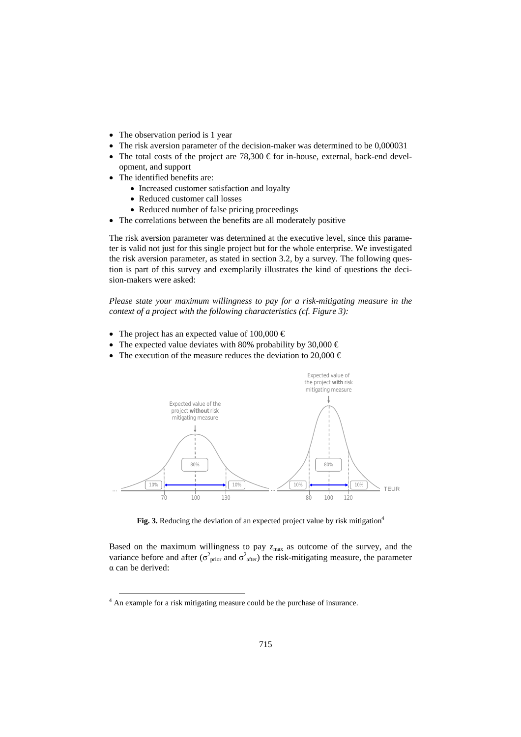- The observation period is 1 year
- The risk aversion parameter of the decision-maker was determined to be 0,000031
- The total costs of the project are  $78,300$  € for in-house, external, back-end development, and support
- The identified benefits are:
	- Increased customer satisfaction and loyalty
	- Reduced customer call losses
	- Reduced number of false pricing proceedings
- The correlations between the benefits are all moderately positive

The risk aversion parameter was determined at the executive level, since this parameter is valid not just for this single project but for the whole enterprise. We investigated the risk aversion parameter, as stated in section 3.2, by a survey. The following question is part of this survey and exemplarily illustrates the kind of questions the decision-makers were asked:

*Please state your maximum willingness to pay for a risk-mitigating measure in the context of a project with the following characteristics (cf. Figure 3):*

- The project has an expected value of  $100,000 \in$
- The expected value deviates with 80% probability by 30,000  $\epsilon$
- The execution of the measure reduces the deviation to 20,000  $\in$



Fig. 3. Reducing the deviation of an expected project value by risk mitigation<sup>4</sup>

Based on the maximum willingness to pay  $z_{\text{max}}$  as outcome of the survey, and the variance before and after ( $\sigma_{prior}^2$  and  $\sigma_{after}^2$ ) the risk-mitigating measure, the parameter α can be derived:

-

<sup>4</sup> An example for a risk mitigating measure could be the purchase of insurance.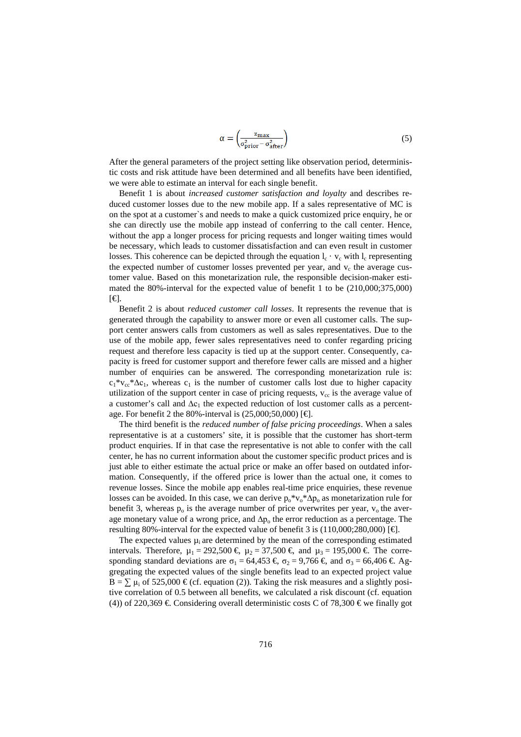$$
\alpha = \left(\frac{z_{\text{max}}}{\sigma_{\text{prior}}^2 - \sigma_{\text{after}}^2}\right) \tag{5}
$$

After the general parameters of the project setting like observation period, deterministic costs and risk attitude have been determined and all benefits have been identified, we were able to estimate an interval for each single benefit.

Benefit 1 is about *increased customer satisfaction and loyalty* and describes reduced customer losses due to the new mobile app. If a sales representative of MC is on the spot at a customer`s and needs to make a quick customized price enquiry, he or she can directly use the mobile app instead of conferring to the call center. Hence, without the app a longer process for pricing requests and longer waiting times would be necessary, which leads to customer dissatisfaction and can even result in customer losses. This coherence can be depicted through the equation  $l_c \cdot v_c$  with  $l_c$  representing the expected number of customer losses prevented per year, and  $v_c$  the average customer value. Based on this monetarization rule, the responsible decision-maker estimated the 80%-interval for the expected value of benefit 1 to be (210,000;375,000) [€].

Benefit 2 is about *reduced customer call losses*. It represents the revenue that is generated through the capability to answer more or even all customer calls. The support center answers calls from customers as well as sales representatives. Due to the use of the mobile app, fewer sales representatives need to confer regarding pricing request and therefore less capacity is tied up at the support center. Consequently, capacity is freed for customer support and therefore fewer calls are missed and a higher number of enquiries can be answered. The corresponding monetarization rule is:  $c_1$ <sup>\*</sup>v<sub>cc</sub>\*∆c<sub>1</sub>, whereas c<sub>1</sub> is the number of customer calls lost due to higher capacity utilization of the support center in case of pricing requests,  $v_{cc}$  is the average value of a customer's call and  $\Delta c_1$  the expected reduction of lost customer calls as a percentage. For benefit 2 the 80%-interval is  $(25,000;50,000)$  [ $\bigoplus$ ].

The third benefit is the *reduced number of false pricing proceedings*. When a sales representative is at a customers' site, it is possible that the customer has short-term product enquiries. If in that case the representative is not able to confer with the call center, he has no current information about the customer specific product prices and is just able to either estimate the actual price or make an offer based on outdated information. Consequently, if the offered price is lower than the actual one, it comes to revenue losses. Since the mobile app enables real-time price enquiries, these revenue losses can be avoided. In this case, we can derive  $p_0*v_0*\Delta p_0$  as monetarization rule for benefit 3, whereas  $p_0$  is the average number of price overwrites per year,  $v_0$  the average monetary value of a wrong price, and  $\Delta p_0$  the error reduction as a percentage. The resulting 80%-interval for the expected value of benefit 3 is (110,000;280,000) [€].

The expected values  $\mu_i$  are determined by the mean of the corresponding estimated intervals. Therefore,  $\mu_1 = 292{,}500 \in \mu_2 = 37{,}500 \in \mathbb{R}$  and  $\mu_3 = 195{,}000 \in \mathbb{R}$  The corresponding standard deviations are  $\sigma_1 = 64,453 \in \sigma_2 = 9,766 \in \sigma_3 = 66,406 \in \sigma_4$ gregating the expected values of the single benefits lead to an expected project value  $B = \sum \mu_i$  of 525,000 € (cf. equation (2)). Taking the risk measures and a slightly positive correlation of 0.5 between all benefits, we calculated a risk discount (cf. equation (4)) of 220,369  $\in$  Considering overall deterministic costs C of 78,300  $\in$  we finally got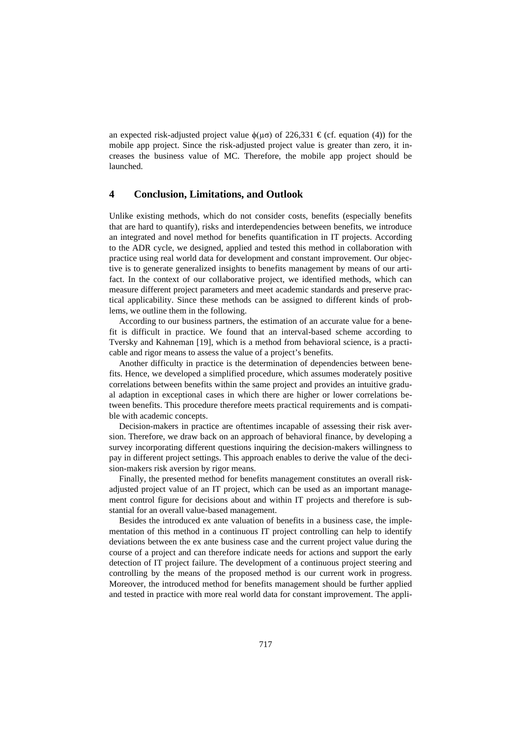an expected risk-adjusted project value  $\phi(\mu\sigma)$  of 226,331 € (cf. equation (4)) for the mobile app project. Since the risk-adjusted project value is greater than zero, it increases the business value of MC. Therefore, the mobile app project should be launched.

#### **4 Conclusion, Limitations, and Outlook**

Unlike existing methods, which do not consider costs, benefits (especially benefits that are hard to quantify), risks and interdependencies between benefits, we introduce an integrated and novel method for benefits quantification in IT projects. According to the ADR cycle, we designed, applied and tested this method in collaboration with practice using real world data for development and constant improvement. Our objective is to generate generalized insights to benefits management by means of our artifact. In the context of our collaborative project, we identified methods, which can measure different project parameters and meet academic standards and preserve practical applicability. Since these methods can be assigned to different kinds of problems, we outline them in the following.

According to our business partners, the estimation of an accurate value for a benefit is difficult in practice. We found that an interval-based scheme according to Tversky and Kahneman [19], which is a method from behavioral science, is a practicable and rigor means to assess the value of a project's benefits.

Another difficulty in practice is the determination of dependencies between benefits. Hence, we developed a simplified procedure, which assumes moderately positive correlations between benefits within the same project and provides an intuitive gradual adaption in exceptional cases in which there are higher or lower correlations between benefits. This procedure therefore meets practical requirements and is compatible with academic concepts.

Decision-makers in practice are oftentimes incapable of assessing their risk aversion. Therefore, we draw back on an approach of behavioral finance, by developing a survey incorporating different questions inquiring the decision-makers willingness to pay in different project settings. This approach enables to derive the value of the decision-makers risk aversion by rigor means.

Finally, the presented method for benefits management constitutes an overall riskadjusted project value of an IT project, which can be used as an important management control figure for decisions about and within IT projects and therefore is substantial for an overall value-based management.

Besides the introduced ex ante valuation of benefits in a business case, the implementation of this method in a continuous IT project controlling can help to identify deviations between the ex ante business case and the current project value during the course of a project and can therefore indicate needs for actions and support the early detection of IT project failure. The development of a continuous project steering and controlling by the means of the proposed method is our current work in progress. Moreover, the introduced method for benefits management should be further applied and tested in practice with more real world data for constant improvement. The appli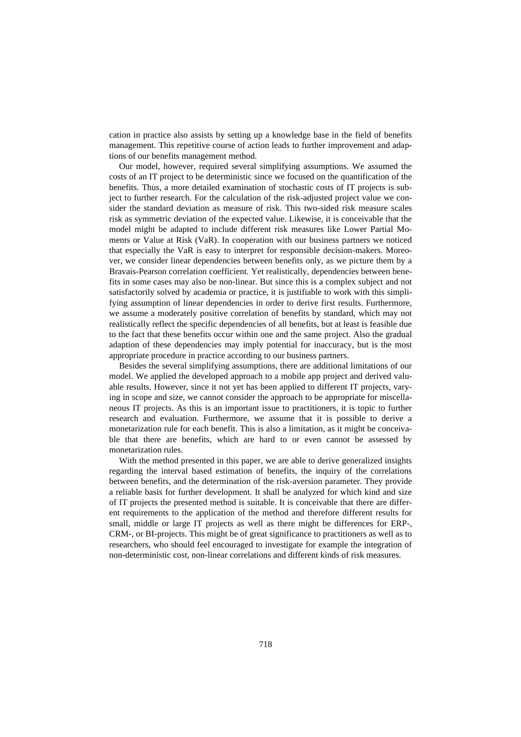cation in practice also assists by setting up a knowledge base in the field of benefits management. This repetitive course of action leads to further improvement and adaptions of our benefits management method.

Our model, however, required several simplifying assumptions. We assumed the costs of an IT project to be deterministic since we focused on the quantification of the benefits. Thus, a more detailed examination of stochastic costs of IT projects is subject to further research. For the calculation of the risk-adjusted project value we consider the standard deviation as measure of risk. This two-sided risk measure scales risk as symmetric deviation of the expected value. Likewise, it is conceivable that the model might be adapted to include different risk measures like Lower Partial Moments or Value at Risk (VaR). In cooperation with our business partners we noticed that especially the VaR is easy to interpret for responsible decision-makers. Moreover, we consider linear dependencies between benefits only, as we picture them by a Bravais-Pearson correlation coefficient. Yet realistically, dependencies between benefits in some cases may also be non-linear. But since this is a complex subject and not satisfactorily solved by academia or practice, it is justifiable to work with this simplifying assumption of linear dependencies in order to derive first results. Furthermore, we assume a moderately positive correlation of benefits by standard, which may not realistically reflect the specific dependencies of all benefits, but at least is feasible due to the fact that these benefits occur within one and the same project. Also the gradual adaption of these dependencies may imply potential for inaccuracy, but is the most appropriate procedure in practice according to our business partners.

Besides the several simplifying assumptions, there are additional limitations of our model. We applied the developed approach to a mobile app project and derived valuable results. However, since it not yet has been applied to different IT projects, varying in scope and size, we cannot consider the approach to be appropriate for miscellaneous IT projects. As this is an important issue to practitioners, it is topic to further research and evaluation. Furthermore, we assume that it is possible to derive a monetarization rule for each benefit. This is also a limitation, as it might be conceivable that there are benefits, which are hard to or even cannot be assessed by monetarization rules.

With the method presented in this paper, we are able to derive generalized insights regarding the interval based estimation of benefits, the inquiry of the correlations between benefits, and the determination of the risk-aversion parameter. They provide a reliable basis for further development. It shall be analyzed for which kind and size of IT projects the presented method is suitable. It is conceivable that there are different requirements to the application of the method and therefore different results for small, middle or large IT projects as well as there might be differences for ERP-, CRM-, or BI-projects. This might be of great significance to practitioners as well as to researchers, who should feel encouraged to investigate for example the integration of non-deterministic cost, non-linear correlations and different kinds of risk measures.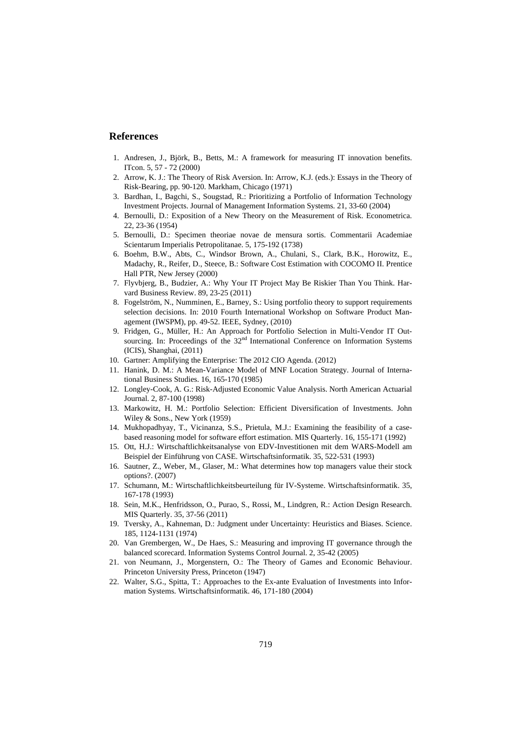### **References**

- 1. Andresen, J., Björk, B., Betts, M.: A framework for measuring IT innovation benefits. ITcon. 5, 57 - 72 (2000)
- 2. Arrow, K. J.: The Theory of Risk Aversion. In: Arrow, K.J. (eds.): Essays in the Theory of Risk-Bearing, pp. 90-120. Markham, Chicago (1971)
- 3. Bardhan, I., Bagchi, S., Sougstad, R.: Prioritizing a Portfolio of Information Technology Investment Projects. Journal of Management Information Systems. 21, 33-60 (2004)
- 4. Bernoulli, D.: Exposition of a New Theory on the Measurement of Risk. Econometrica. 22, 23-36 (1954)
- 5. Bernoulli, D.: Specimen theoriae novae de mensura sortis. Commentarii Academiae Scientarum Imperialis Petropolitanae. 5, 175-192 (1738)
- 6. Boehm, B.W., Abts, C., Windsor Brown, A., Chulani, S., Clark, B.K., Horowitz, E., Madachy, R., Reifer, D., Steece, B.: Software Cost Estimation with COCOMO II. Prentice Hall PTR, New Jersey (2000)
- 7. Flyvbjerg, B., Budzier, A.: Why Your IT Project May Be Riskier Than You Think. Harvard Business Review. 89, 23-25 (2011)
- 8. Fogelström, N., Numminen, E., Barney, S.: Using portfolio theory to support requirements selection decisions. In: 2010 Fourth International Workshop on Software Product Management (IWSPM), pp. 49-52. IEEE, Sydney, (2010)
- 9. Fridgen, G., Müller, H.: An Approach for Portfolio Selection in Multi-Vendor IT Outsourcing. In: Proceedings of the 32<sup>nd</sup> International Conference on Information Systems (ICIS), Shanghai, (2011)
- 10. Gartner: Amplifying the Enterprise: The 2012 CIO Agenda. (2012)
- 11. Hanink, D. M.: A Mean-Variance Model of MNF Location Strategy. Journal of International Business Studies. 16, 165-170 (1985)
- 12. Longley-Cook, A. G.: Risk-Adjusted Economic Value Analysis. North American Actuarial Journal. 2, 87-100 (1998)
- 13. Markowitz, H. M.: Portfolio Selection: Efficient Diversification of Investments. John Wiley & Sons., New York (1959)
- 14. Mukhopadhyay, T., Vicinanza, S.S., Prietula, M.J.: Examining the feasibility of a casebased reasoning model for software effort estimation. MIS Quarterly. 16, 155-171 (1992)
- 15. Ott, H.J.: Wirtschaftlichkeitsanalyse von EDV-Investitionen mit dem WARS-Modell am Beispiel der Einführung von CASE. Wirtschaftsinformatik. 35, 522-531 (1993)
- 16. Sautner, Z., Weber, M., Glaser, M.: What determines how top managers value their stock options?. (2007)
- 17. Schumann, M.: Wirtschaftlichkeitsbeurteilung für IV-Systeme. Wirtschaftsinformatik. 35, 167-178 (1993)
- 18. Sein, M.K., Henfridsson, O., Purao, S., Rossi, M., Lindgren, R.: Action Design Research. MIS Quarterly. 35, 37-56 (2011)
- 19. Tversky, A., Kahneman, D.: Judgment under Uncertainty: Heuristics and Biases. Science. 185, 1124-1131 (1974)
- 20. Van Grembergen, W., De Haes, S.: Measuring and improving IT governance through the balanced scorecard. Information Systems Control Journal. 2, 35-42 (2005)
- 21. von Neumann, J., Morgenstern, O.: The Theory of Games and Economic Behaviour. Princeton University Press, Princeton (1947)
- 22. Walter, S.G., Spitta, T.: Approaches to the Ex-ante Evaluation of Investments into Information Systems. Wirtschaftsinformatik. 46, 171-180 (2004)